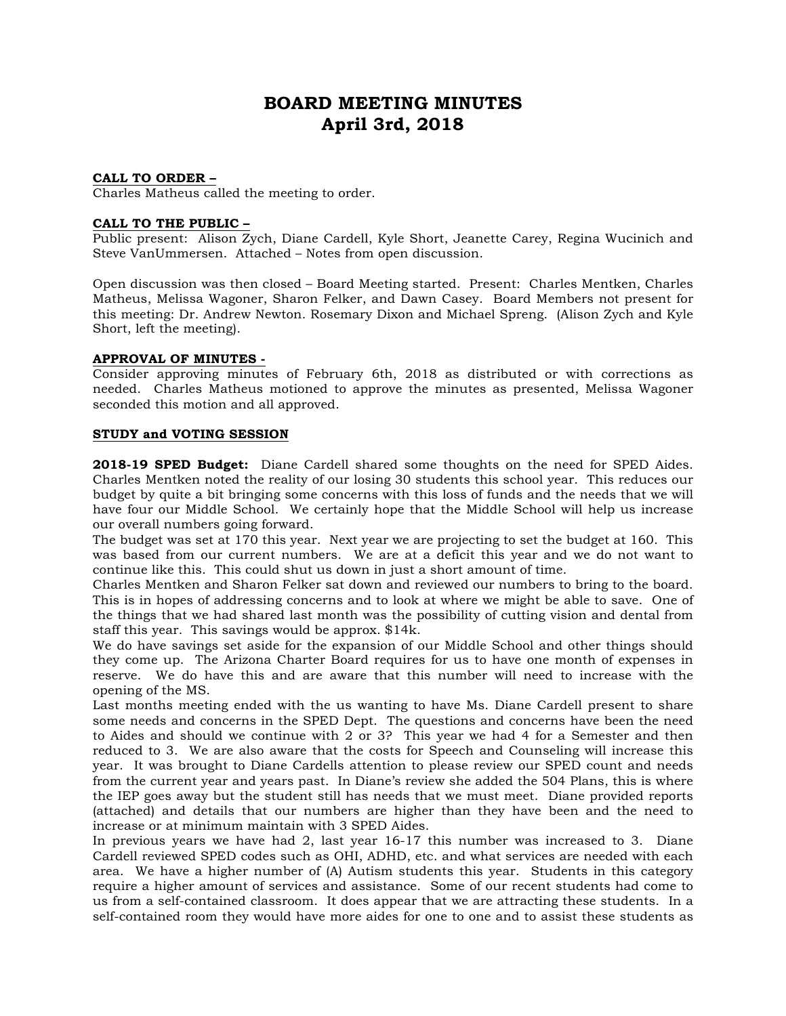# **BOARD MEETING MINUTES April 3rd, 2018**

#### **CALL TO ORDER –**

Charles Matheus called the meeting to order.

#### **CALL TO THE PUBLIC –**

Public present: Alison Zych, Diane Cardell, Kyle Short, Jeanette Carey, Regina Wucinich and Steve VanUmmersen. Attached – Notes from open discussion.

Open discussion was then closed – Board Meeting started. Present: Charles Mentken, Charles Matheus, Melissa Wagoner, Sharon Felker, and Dawn Casey. Board Members not present for this meeting: Dr. Andrew Newton. Rosemary Dixon and Michael Spreng. (Alison Zych and Kyle Short, left the meeting).

#### **APPROVAL OF MINUTES -**

Consider approving minutes of February 6th, 2018 as distributed or with corrections as needed. Charles Matheus motioned to approve the minutes as presented, Melissa Wagoner seconded this motion and all approved.

#### **STUDY and VOTING SESSION**

**2018-19 SPED Budget:** Diane Cardell shared some thoughts on the need for SPED Aides. Charles Mentken noted the reality of our losing 30 students this school year. This reduces our budget by quite a bit bringing some concerns with this loss of funds and the needs that we will have four our Middle School. We certainly hope that the Middle School will help us increase our overall numbers going forward.

The budget was set at 170 this year. Next year we are projecting to set the budget at 160. This was based from our current numbers. We are at a deficit this year and we do not want to continue like this. This could shut us down in just a short amount of time.

Charles Mentken and Sharon Felker sat down and reviewed our numbers to bring to the board. This is in hopes of addressing concerns and to look at where we might be able to save. One of the things that we had shared last month was the possibility of cutting vision and dental from staff this year. This savings would be approx. \$14k.

We do have savings set aside for the expansion of our Middle School and other things should they come up. The Arizona Charter Board requires for us to have one month of expenses in reserve. We do have this and are aware that this number will need to increase with the opening of the MS.

Last months meeting ended with the us wanting to have Ms. Diane Cardell present to share some needs and concerns in the SPED Dept. The questions and concerns have been the need to Aides and should we continue with 2 or 3? This year we had 4 for a Semester and then reduced to 3. We are also aware that the costs for Speech and Counseling will increase this year. It was brought to Diane Cardells attention to please review our SPED count and needs from the current year and years past. In Diane's review she added the 504 Plans, this is where the IEP goes away but the student still has needs that we must meet. Diane provided reports (attached) and details that our numbers are higher than they have been and the need to increase or at minimum maintain with 3 SPED Aides.

In previous years we have had 2, last year 16-17 this number was increased to 3. Diane Cardell reviewed SPED codes such as OHI, ADHD, etc. and what services are needed with each area. We have a higher number of (A) Autism students this year. Students in this category require a higher amount of services and assistance. Some of our recent students had come to us from a self-contained classroom. It does appear that we are attracting these students. In a self-contained room they would have more aides for one to one and to assist these students as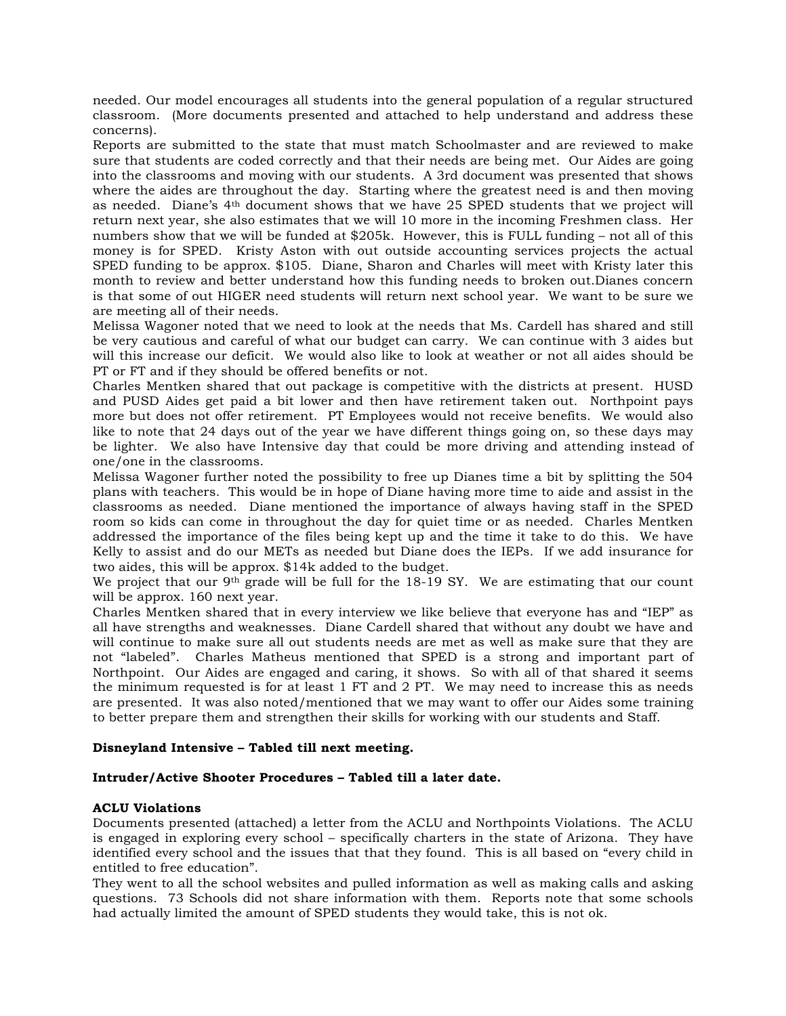needed. Our model encourages all students into the general population of a regular structured classroom. (More documents presented and attached to help understand and address these concerns).

Reports are submitted to the state that must match Schoolmaster and are reviewed to make sure that students are coded correctly and that their needs are being met. Our Aides are going into the classrooms and moving with our students. A 3rd document was presented that shows where the aides are throughout the day. Starting where the greatest need is and then moving as needed. Diane's 4th document shows that we have 25 SPED students that we project will return next year, she also estimates that we will 10 more in the incoming Freshmen class. Her numbers show that we will be funded at \$205k. However, this is FULL funding – not all of this money is for SPED. Kristy Aston with out outside accounting services projects the actual SPED funding to be approx. \$105. Diane, Sharon and Charles will meet with Kristy later this month to review and better understand how this funding needs to broken out.Dianes concern is that some of out HIGER need students will return next school year. We want to be sure we are meeting all of their needs.

Melissa Wagoner noted that we need to look at the needs that Ms. Cardell has shared and still be very cautious and careful of what our budget can carry. We can continue with 3 aides but will this increase our deficit. We would also like to look at weather or not all aides should be PT or FT and if they should be offered benefits or not.

Charles Mentken shared that out package is competitive with the districts at present. HUSD and PUSD Aides get paid a bit lower and then have retirement taken out. Northpoint pays more but does not offer retirement. PT Employees would not receive benefits. We would also like to note that 24 days out of the year we have different things going on, so these days may be lighter. We also have Intensive day that could be more driving and attending instead of one/one in the classrooms.

Melissa Wagoner further noted the possibility to free up Dianes time a bit by splitting the 504 plans with teachers. This would be in hope of Diane having more time to aide and assist in the classrooms as needed. Diane mentioned the importance of always having staff in the SPED room so kids can come in throughout the day for quiet time or as needed. Charles Mentken addressed the importance of the files being kept up and the time it take to do this. We have Kelly to assist and do our METs as needed but Diane does the IEPs. If we add insurance for two aides, this will be approx. \$14k added to the budget.

We project that our 9<sup>th</sup> grade will be full for the  $18-19$  SY. We are estimating that our count will be approx. 160 next year.

Charles Mentken shared that in every interview we like believe that everyone has and "IEP" as all have strengths and weaknesses. Diane Cardell shared that without any doubt we have and will continue to make sure all out students needs are met as well as make sure that they are not "labeled". Charles Matheus mentioned that SPED is a strong and important part of Northpoint. Our Aides are engaged and caring, it shows. So with all of that shared it seems the minimum requested is for at least 1 FT and 2 PT. We may need to increase this as needs are presented. It was also noted/mentioned that we may want to offer our Aides some training to better prepare them and strengthen their skills for working with our students and Staff.

# **Disneyland Intensive – Tabled till next meeting.**

# **Intruder/Active Shooter Procedures – Tabled till a later date.**

# **ACLU Violations**

Documents presented (attached) a letter from the ACLU and Northpoints Violations. The ACLU is engaged in exploring every school – specifically charters in the state of Arizona. They have identified every school and the issues that that they found. This is all based on "every child in entitled to free education".

They went to all the school websites and pulled information as well as making calls and asking questions. 73 Schools did not share information with them. Reports note that some schools had actually limited the amount of SPED students they would take, this is not ok.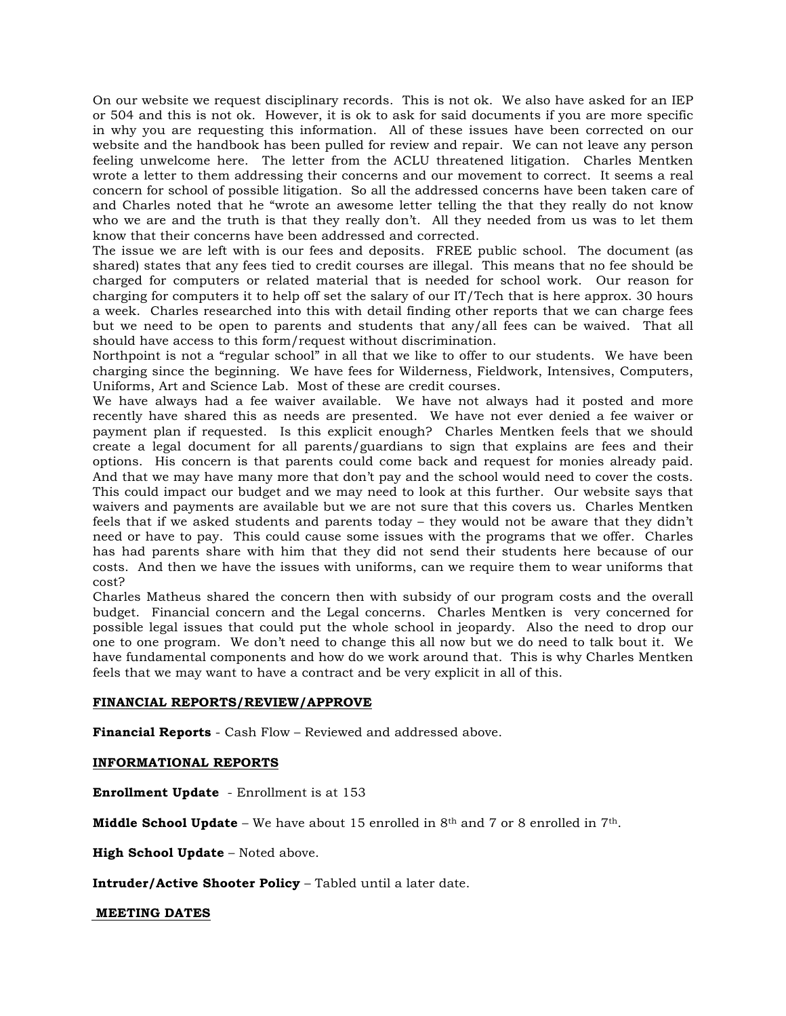On our website we request disciplinary records. This is not ok. We also have asked for an IEP or 504 and this is not ok. However, it is ok to ask for said documents if you are more specific in why you are requesting this information. All of these issues have been corrected on our website and the handbook has been pulled for review and repair. We can not leave any person feeling unwelcome here. The letter from the ACLU threatened litigation. Charles Mentken wrote a letter to them addressing their concerns and our movement to correct. It seems a real concern for school of possible litigation. So all the addressed concerns have been taken care of and Charles noted that he "wrote an awesome letter telling the that they really do not know who we are and the truth is that they really don't. All they needed from us was to let them know that their concerns have been addressed and corrected.

The issue we are left with is our fees and deposits. FREE public school. The document (as shared) states that any fees tied to credit courses are illegal. This means that no fee should be charged for computers or related material that is needed for school work. Our reason for charging for computers it to help off set the salary of our IT/Tech that is here approx. 30 hours a week. Charles researched into this with detail finding other reports that we can charge fees but we need to be open to parents and students that any/all fees can be waived. That all should have access to this form/request without discrimination.

Northpoint is not a "regular school" in all that we like to offer to our students. We have been charging since the beginning. We have fees for Wilderness, Fieldwork, Intensives, Computers, Uniforms, Art and Science Lab. Most of these are credit courses.

We have always had a fee waiver available. We have not always had it posted and more recently have shared this as needs are presented. We have not ever denied a fee waiver or payment plan if requested. Is this explicit enough? Charles Mentken feels that we should create a legal document for all parents/guardians to sign that explains are fees and their options. His concern is that parents could come back and request for monies already paid. And that we may have many more that don't pay and the school would need to cover the costs. This could impact our budget and we may need to look at this further. Our website says that waivers and payments are available but we are not sure that this covers us. Charles Mentken feels that if we asked students and parents today – they would not be aware that they didn't need or have to pay. This could cause some issues with the programs that we offer. Charles has had parents share with him that they did not send their students here because of our costs. And then we have the issues with uniforms, can we require them to wear uniforms that cost?

Charles Matheus shared the concern then with subsidy of our program costs and the overall budget. Financial concern and the Legal concerns. Charles Mentken is very concerned for possible legal issues that could put the whole school in jeopardy. Also the need to drop our one to one program. We don't need to change this all now but we do need to talk bout it. We have fundamental components and how do we work around that. This is why Charles Mentken feels that we may want to have a contract and be very explicit in all of this.

# **FINANCIAL REPORTS/REVIEW/APPROVE**

**Financial Reports** - Cash Flow – Reviewed and addressed above.

# **INFORMATIONAL REPORTS**

**Enrollment Update** - Enrollment is at 153

**Middle School Update** – We have about 15 enrolled in  $8<sup>th</sup>$  and 7 or 8 enrolled in  $7<sup>th</sup>$ .

**High School Update** – Noted above.

**Intruder/Active Shooter Policy** – Tabled until a later date.

#### **MEETING DATES**